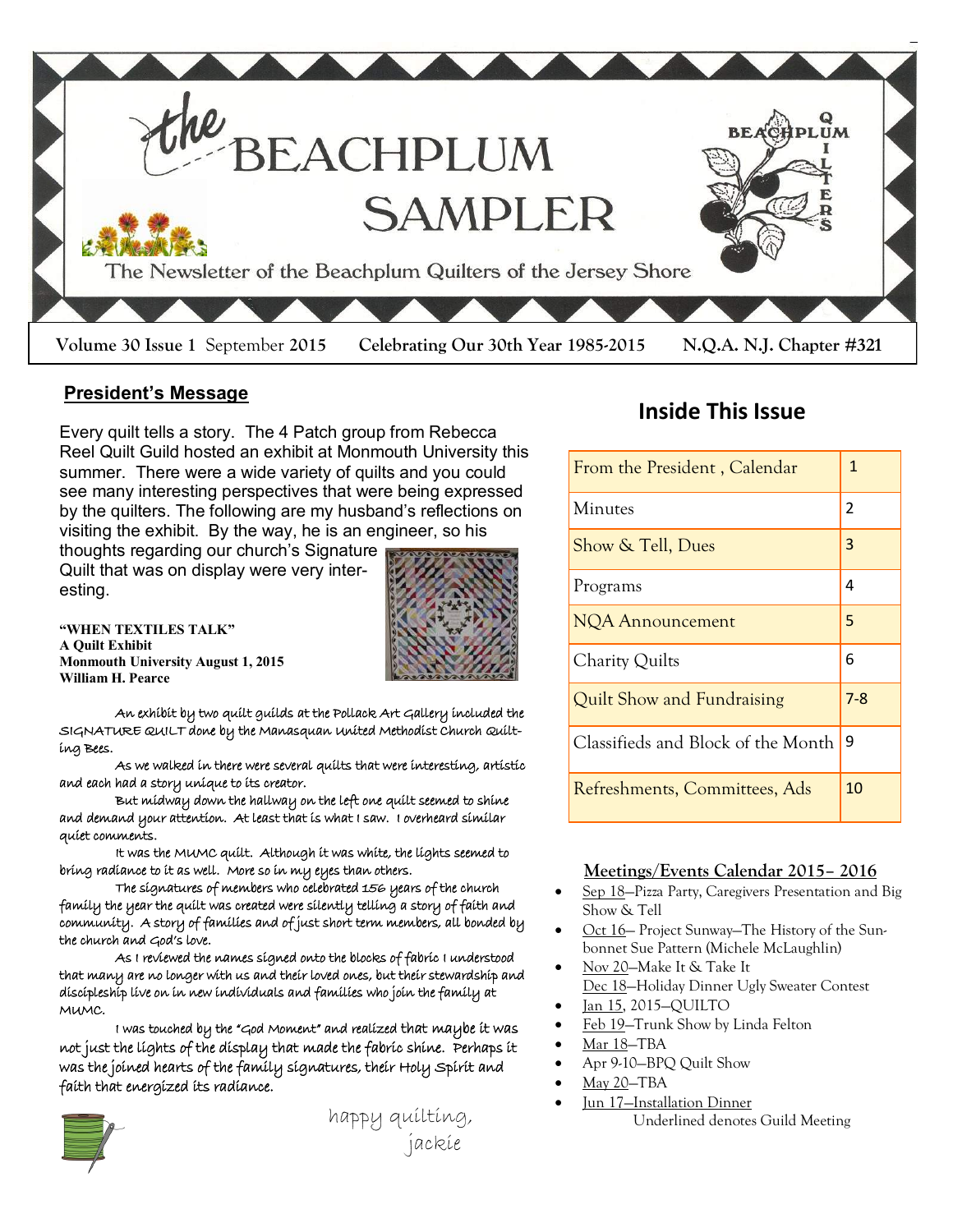

#### **President's Message**

Every quilt tells a story. The 4 Patch group from Rebecca Reel Quilt Guild hosted an exhibit at Monmouth University this summer. There were a wide variety of quilts and you could see many interesting perspectives that were being expressed by the quilters. The following are my husband's reflections on visiting the exhibit. By the way, he is an engineer, so his

thoughts regarding our church's Signature Quilt that was on display were very interesting.



**"WHEN TEXTILES TALK" A Quilt Exhibit Monmouth University August 1, 2015 William H. Pearce**

An exhibit by two quilt guilds at the Pollack Art Gallery included the SIGNATURE QUILT done by the Manasquan United Methodist Church Quilting Bees.

As we walked in there were several quilts that were interesting, artistic and each had a story unique to its creator.

 But midway down the hallway on the left one quilt seemed to shine and demand your attention. At least that is what I saw. I overheard similar quiet comments.

 It was the MUMC quilt. Although it was white, the lights seemed to bring radiance to it as well. More so in my eyes than others.

 The signatures of members who celebrated 156 years of the church family the year the quilt was created were silently telling a story of faith and community. A story of families and of just short term members, all bonded by the church and God's love.

 As I reviewed the names signed onto the blocks of fabric I understood that many are no longer with us and their loved ones, but their stewardship and discipleship live on in new individuals and families who join the family at MUMC.

I was touched by the "God Moment" and realized that maybe it was not just the lights of the display that made the fabric shine. Perhaps it was the joined hearts of the family signatures, their Holy Spirit and faith that energized its radiance.



happy quilting, jackie

# **Inside This Issue**

| From the President, Calendar       | 1   |
|------------------------------------|-----|
| Minutes                            | 2   |
| Show & Tell, Dues                  | 3   |
| Programs                           | 4   |
| <b>NQA Announcement</b>            | 5   |
| Charity Quilts                     | 6   |
| Quilt Show and Fundraising         | 7-8 |
| Classifieds and Block of the Month | 9   |
| Refreshments, Committees, Ads      | 10  |

#### **Meetings/Events Calendar 2015– 2016**

- Sep 18—Pizza Party, Caregivers Presentation and Big Show & Tell
- Oct 16— Project Sunway—The History of the Sunbonnet Sue Pattern (Michele McLaughlin)
- Nov 20—Make It & Take It Dec 18—Holiday Dinner Ugly Sweater Contest
- Jan 15, 2015—QUILTO
- Feb 19—Trunk Show by Linda Felton
- Mar 18—TBA
- Apr 9-10—BPQ Quilt Show
- May 20—TBA
- Jun 17—Installation Dinner Underlined denotes Guild Meeting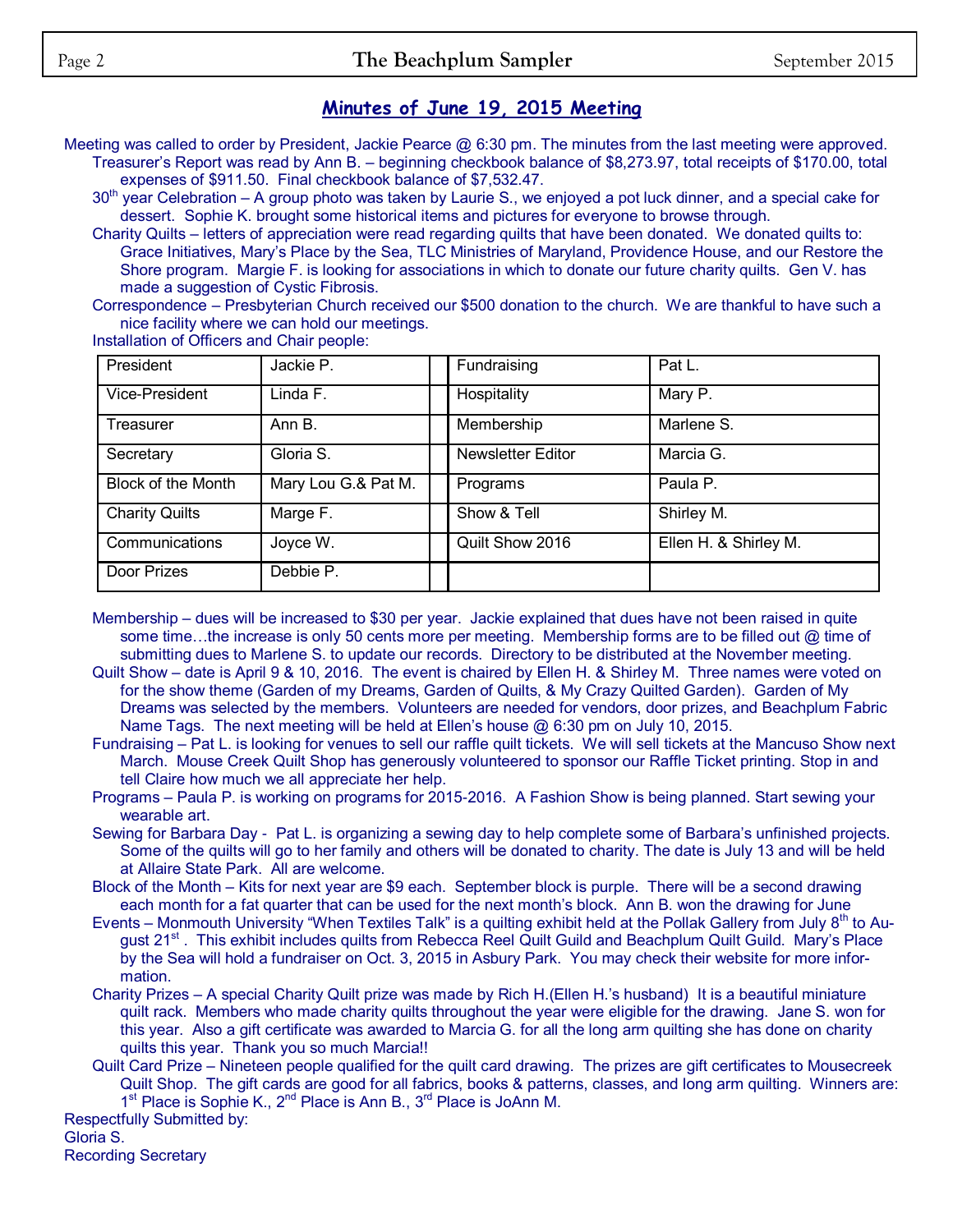# **Minutes of June 19, 2015 Meeting**

Meeting was called to order by President, Jackie Pearce @ 6:30 pm. The minutes from the last meeting were approved. Treasurer's Report was read by Ann B. – beginning checkbook balance of \$8,273.97, total receipts of \$170.00, total expenses of \$911.50. Final checkbook balance of \$7,532.47.

30<sup>th</sup> year Celebration – A group photo was taken by Laurie S., we enjoyed a pot luck dinner, and a special cake for dessert. Sophie K. brought some historical items and pictures for everyone to browse through.

Charity Quilts – letters of appreciation were read regarding quilts that have been donated. We donated quilts to: Grace Initiatives, Mary's Place by the Sea, TLC Ministries of Maryland, Providence House, and our Restore the Shore program. Margie F. is looking for associations in which to donate our future charity quilts. Gen V. has made a suggestion of Cystic Fibrosis.

Correspondence – Presbyterian Church received our \$500 donation to the church. We are thankful to have such a nice facility where we can hold our meetings.

Installation of Officers and Chair people:

| President                 | Jackie P.           | Fundraising       | Pat L.                |
|---------------------------|---------------------|-------------------|-----------------------|
| Vice-President            | Linda F.            | Hospitality       | Mary P.               |
| Treasurer                 | Ann B.              | Membership        | Marlene S.            |
| Secretary                 | Gloria S.           | Newsletter Editor | Marcia G.             |
| <b>Block of the Month</b> | Mary Lou G.& Pat M. | Programs          | Paula P.              |
| <b>Charity Quilts</b>     | Marge F.            | Show & Tell       | Shirley M.            |
| Communications            | Joyce W.            | Quilt Show 2016   | Ellen H. & Shirley M. |
| Door Prizes               | Debbie P.           |                   |                       |

Membership – dues will be increased to \$30 per year. Jackie explained that dues have not been raised in quite some time...the increase is only 50 cents more per meeting. Membership forms are to be filled out @ time of submitting dues to Marlene S. to update our records. Directory to be distributed at the November meeting.

Quilt Show – date is April 9 & 10, 2016. The event is chaired by Ellen H. & Shirley M. Three names were voted on for the show theme (Garden of my Dreams, Garden of Quilts, & My Crazy Quilted Garden). Garden of My Dreams was selected by the members. Volunteers are needed for vendors, door prizes, and Beachplum Fabric Name Tags. The next meeting will be held at Ellen's house @ 6:30 pm on July 10, 2015.

Fundraising – Pat L. is looking for venues to sell our raffle quilt tickets. We will sell tickets at the Mancuso Show next March. Mouse Creek Quilt Shop has generously volunteered to sponsor our Raffle Ticket printing. Stop in and tell Claire how much we all appreciate her help.

Programs – Paula P. is working on programs for 2015-2016. A Fashion Show is being planned. Start sewing your wearable art.

Sewing for Barbara Day - Pat L. is organizing a sewing day to help complete some of Barbara's unfinished projects. Some of the quilts will go to her family and others will be donated to charity. The date is July 13 and will be held at Allaire State Park. All are welcome.

Block of the Month – Kits for next year are \$9 each. September block is purple. There will be a second drawing each month for a fat quarter that can be used for the next month's block. Ann B. won the drawing for June

Events – Monmouth University "When Textiles Talk" is a quilting exhibit held at the Pollak Gallery from July  $8<sup>th</sup>$  to August 21<sup>st</sup>. This exhibit includes quilts from Rebecca Reel Quilt Guild and Beachplum Quilt Guild. Mary's Place by the Sea will hold a fundraiser on Oct. 3, 2015 in Asbury Park. You may check their website for more information.

Charity Prizes – A special Charity Quilt prize was made by Rich H.(Ellen H.'s husband) It is a beautiful miniature quilt rack. Members who made charity quilts throughout the year were eligible for the drawing. Jane S. won for this year. Also a gift certificate was awarded to Marcia G. for all the long arm quilting she has done on charity quilts this year. Thank you so much Marcia!!

Quilt Card Prize – Nineteen people qualified for the quilt card drawing. The prizes are gift certificates to Mousecreek Quilt Shop. The gift cards are good for all fabrics, books & patterns, classes, and long arm quilting. Winners are: 1<sup>st</sup> Place is Sophie K., 2<sup>nd</sup> Place is Ann B., 3<sup>rd</sup> Place is JoAnn M.

Respectfully Submitted by: Gloria S. Recording Secretary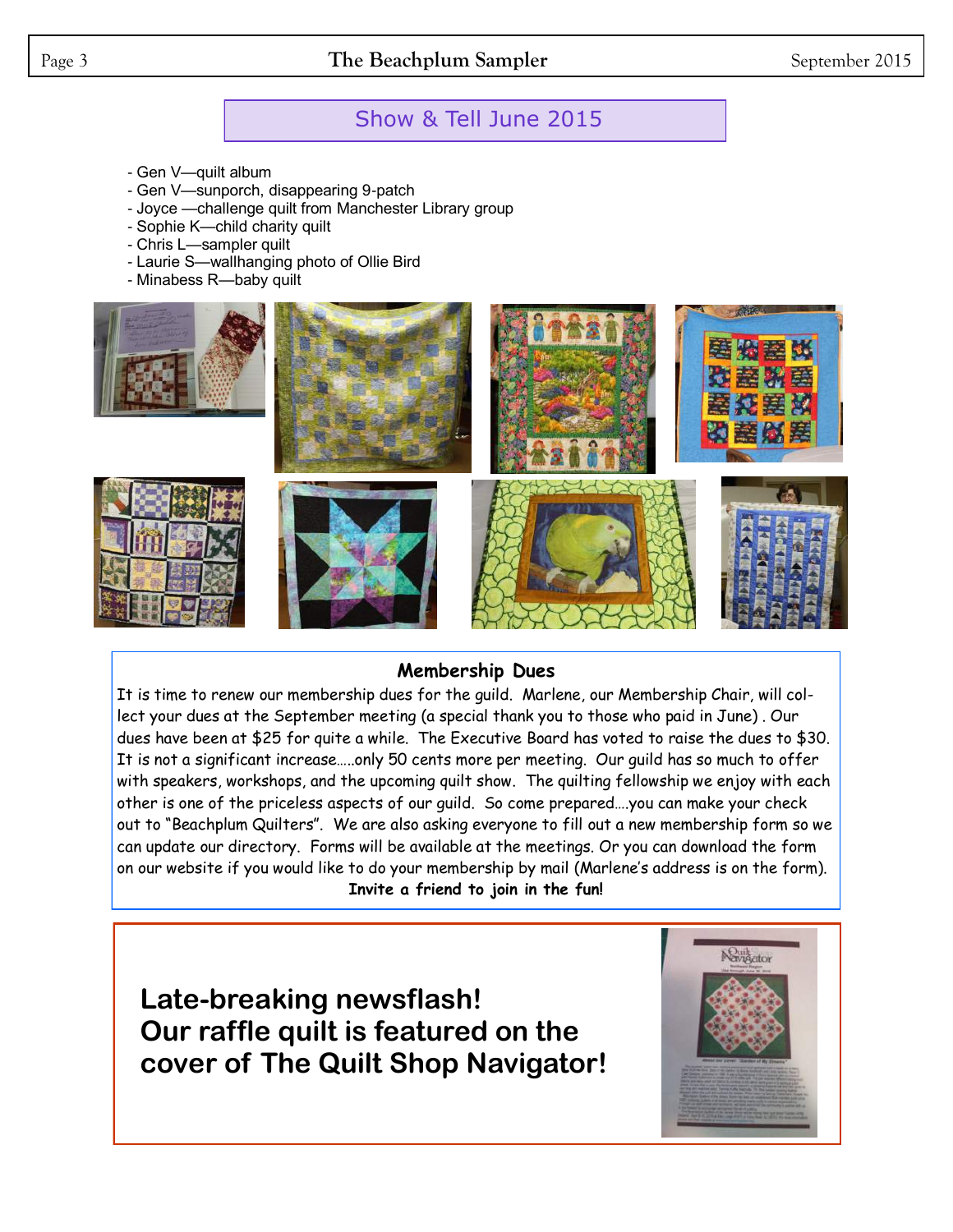### Page 3 **The Beachplum Sampler** September 2015

## Show & Tell June 2015

- Gen V—quilt album
- Gen V—sunporch, disappearing 9-patch
- Joyce —challenge quilt from Manchester Library group
- Sophie K—child charity quilt
- Chris L—sampler quilt
- Laurie S—wallhanging photo of Ollie Bird
- Minabess R—baby quilt



#### **Membership Dues**

It is time to renew our membership dues for the guild. Marlene, our Membership Chair, will collect your dues at the September meeting (a special thank you to those who paid in June) . Our dues have been at \$25 for quite a while. The Executive Board has voted to raise the dues to \$30. It is not a significant increase…..only 50 cents more per meeting. Our guild has so much to offer with speakers, workshops, and the upcoming quilt show. The quilting fellowship we enjoy with each other is one of the priceless aspects of our guild. So come prepared….you can make your check out to "Beachplum Quilters". We are also asking everyone to fill out a new membership form so we can update our directory. Forms will be available at the meetings. Or you can download the form on our website if you would like to do your membership by mail (Marlene's address is on the form). **Invite a friend to join in the fun!**

**Late-breaking newsflash! Our raffle quilt is featured on the cover of The Quilt Shop Navigator!**

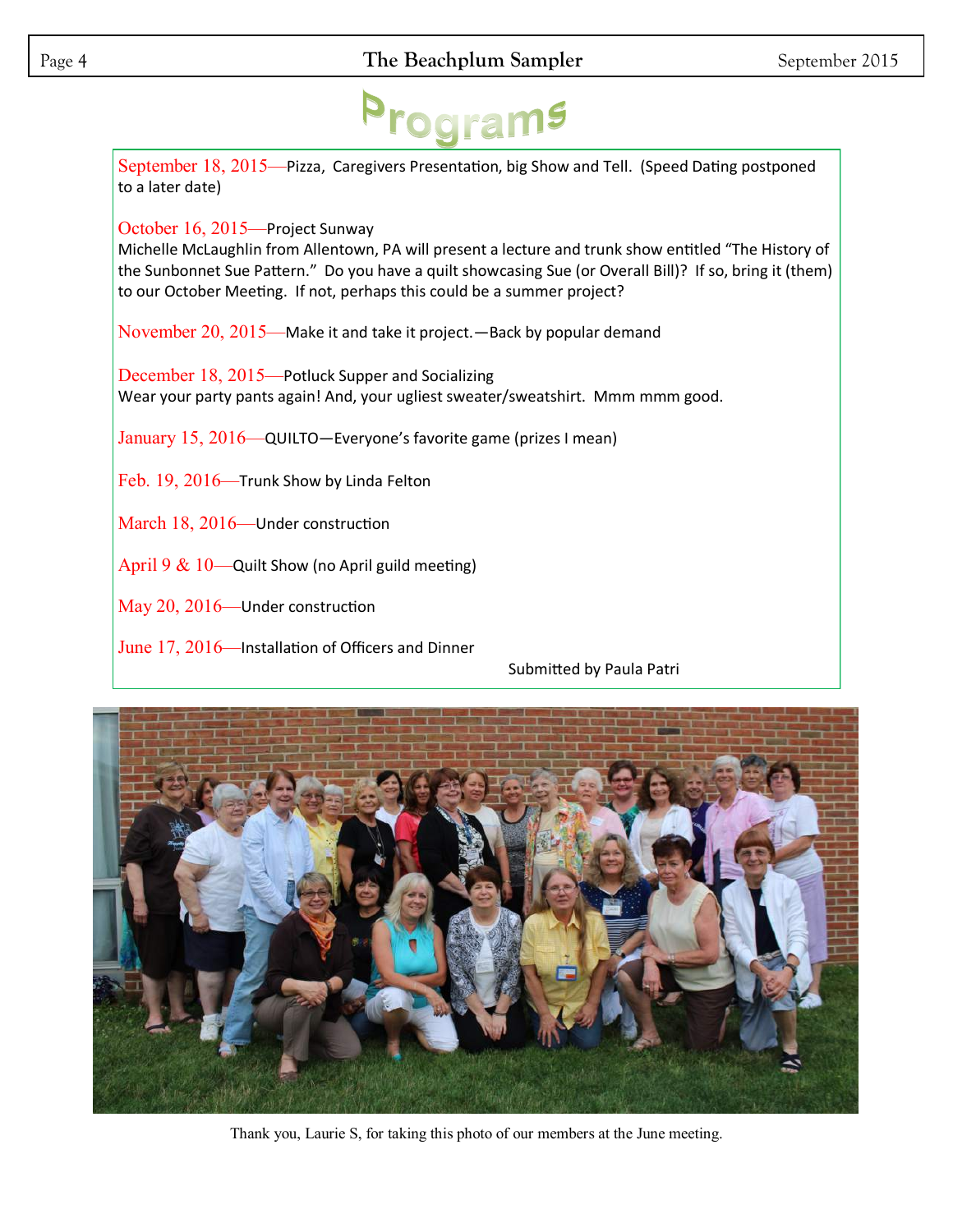September 18, 2015—Pizza, Caregivers Presentation, big Show and Tell. (Speed Dating postponed to a later date)

October 16, 2015—Project Sunway

Michelle McLaughlin from Allentown, PA will present a lecture and trunk show entitled "The History of the Sunbonnet Sue Pattern." Do you have a quilt showcasing Sue (or Overall Bill)? If so, bring it (them) to our October Meeting. If not, perhaps this could be a summer project?

November 20, 2015—Make it and take it project.—Back by popular demand

December 18, 2015—Potluck Supper and Socializing Wear your party pants again! And, your ugliest sweater/sweatshirt. Mmm mmm good.

January 15, 2016—QUILTO—Everyone's favorite game (prizes I mean)

Feb. 19, 2016—Trunk Show by Linda Felton

March 18, 2016—Under construction

April 9  $& 10$ —Quilt Show (no April guild meeting)

May 20, 2016—Under construction

June 17, 2016—Installation of Officers and Dinner

Submitted by Paula Patri



Thank you, Laurie S, for taking this photo of our members at the June meeting.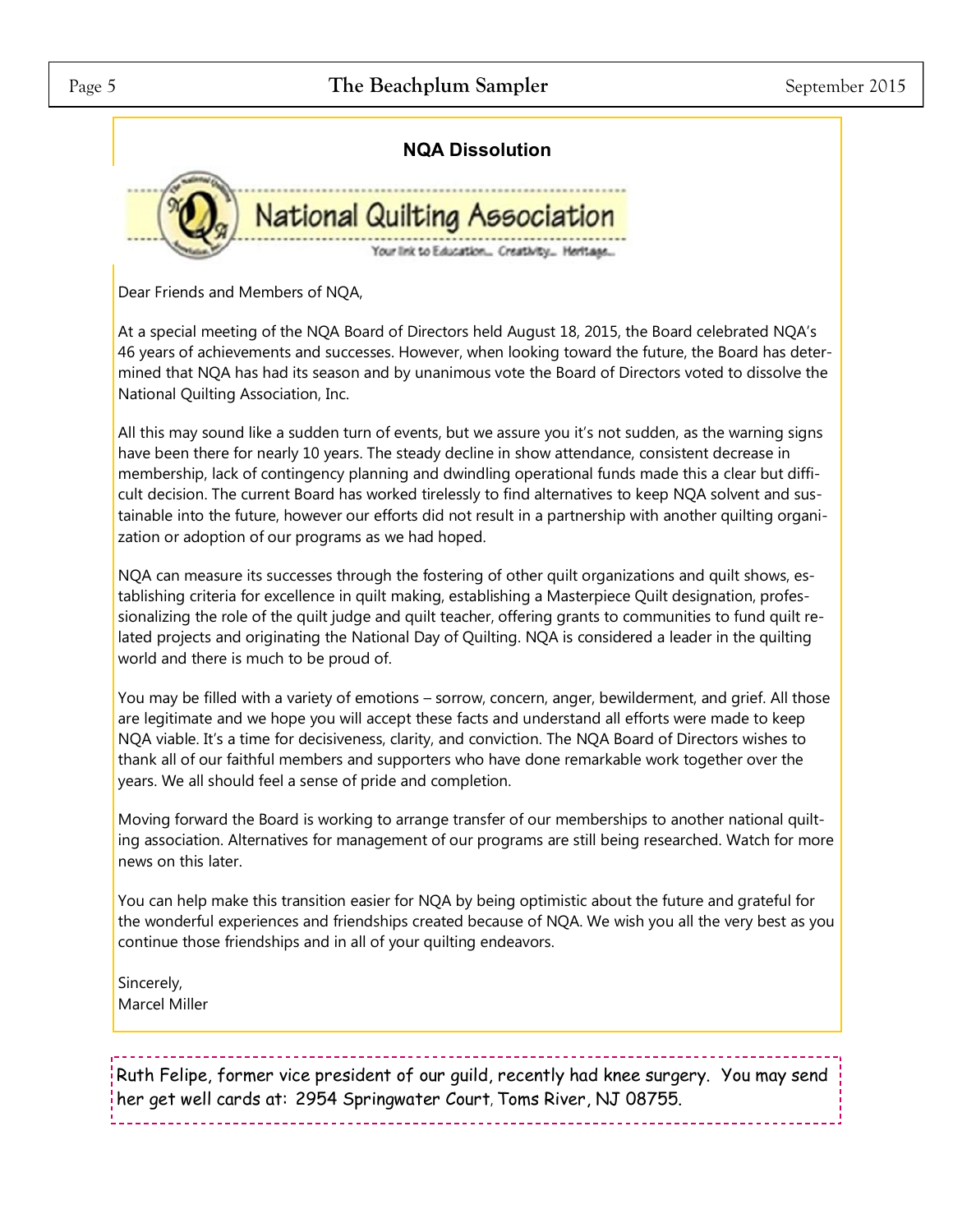### Page 5 **The Beachplum Sampler** September 2015



Dear Friends and Members of NQA,

At a special meeting of the NQA Board of Directors held August 18, 2015, the Board celebrated NQA's 46 years of achievements and successes. However, when looking toward the future, the Board has determined that NQA has had its season and by unanimous vote the Board of Directors voted to dissolve the National Quilting Association, Inc.

All this may sound like a sudden turn of events, but we assure you it's not sudden, as the warning signs have been there for nearly 10 years. The steady decline in show attendance, consistent decrease in membership, lack of contingency planning and dwindling operational funds made this a clear but difficult decision. The current Board has worked tirelessly to find alternatives to keep NQA solvent and sustainable into the future, however our efforts did not result in a partnership with another quilting organization or adoption of our programs as we had hoped.

NQA can measure its successes through the fostering of other quilt organizations and quilt shows, establishing criteria for excellence in quilt making, establishing a Masterpiece Quilt designation, professionalizing the role of the quilt judge and quilt teacher, offering grants to communities to fund quilt related projects and originating the National Day of Quilting. NQA is considered a leader in the quilting world and there is much to be proud of.

You may be filled with a variety of emotions – sorrow, concern, anger, bewilderment, and grief. All those are legitimate and we hope you will accept these facts and understand all efforts were made to keep NQA viable. It's a time for decisiveness, clarity, and conviction. The NQA Board of Directors wishes to thank all of our faithful members and supporters who have done remarkable work together over the years. We all should feel a sense of pride and completion.

Moving forward the Board is working to arrange transfer of our memberships to another national quilting association. Alternatives for management of our programs are still being researched. Watch for more news on this later.

You can help make this transition easier for NQA by being optimistic about the future and grateful for the wonderful experiences and friendships created because of NQA. We wish you all the very best as you continue those friendships and in all of your quilting endeavors.

Sincerely, Marcel Miller

Ruth Felipe, former vice president of our guild, recently had knee surgery. You may send her get well cards at: 2954 Springwater Court, Toms River, NJ 08755.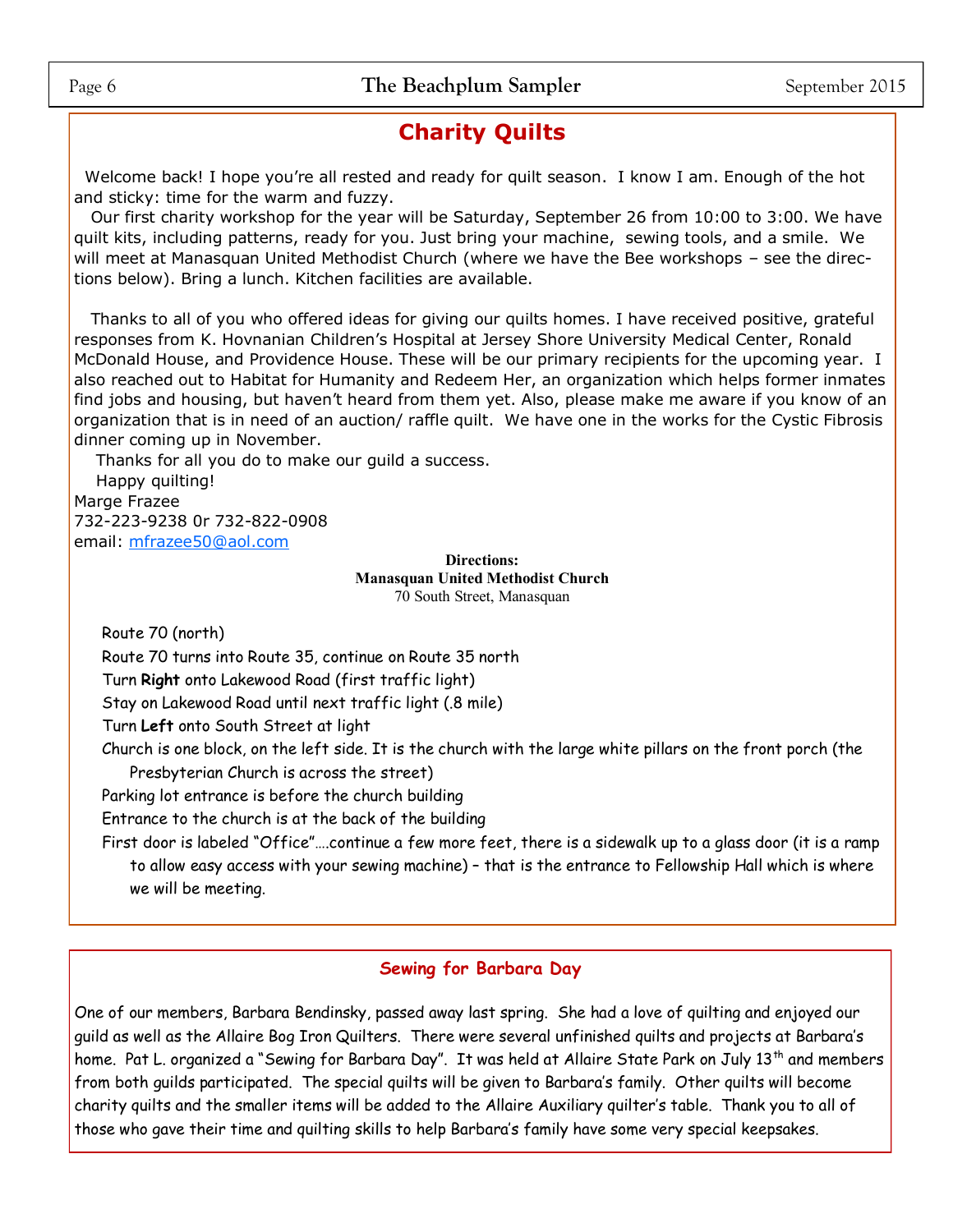# **Charity Quilts**

Welcome back! I hope you're all rested and ready for quilt season. I know I am. Enough of the hot and sticky: time for the warm and fuzzy.

 Our first charity workshop for the year will be Saturday, September 26 from 10:00 to 3:00. We have quilt kits, including patterns, ready for you. Just bring your machine, sewing tools, and a smile. We will meet at Manasquan United Methodist Church (where we have the Bee workshops – see the directions below). Bring a lunch. Kitchen facilities are available.

 Thanks to all of you who offered ideas for giving our quilts homes. I have received positive, grateful responses from K. Hovnanian Children's Hospital at Jersey Shore University Medical Center, Ronald McDonald House, and Providence House. These will be our primary recipients for the upcoming year. I also reached out to Habitat for Humanity and Redeem Her, an organization which helps former inmates find jobs and housing, but haven't heard from them yet. Also, please make me aware if you know of an organization that is in need of an auction/ raffle quilt. We have one in the works for the Cystic Fibrosis dinner coming up in November.

 Thanks for all you do to make our guild a success. Happy quilting! Marge Frazee 732-223-9238 0r 732-822-0908 email: [mfrazee50@aol.com](mailto:mfrazee50@aol.com)

> **Directions: Manasquan United Methodist Church** 70 South Street, Manasquan

Route 70 (north)

Route 70 turns into Route 35, continue on Route 35 north

Turn **Right** onto Lakewood Road (first traffic light)

Stay on Lakewood Road until next traffic light (.8 mile)

Turn **Left** onto South Street at light

Church is one block, on the left side. It is the church with the large white pillars on the front porch (the Presbyterian Church is across the street)

Parking lot entrance is before the church building

Entrance to the church is at the back of the building

First door is labeled "Office"….continue a few more feet, there is a sidewalk up to a glass door (it is a ramp to allow easy access with your sewing machine) – that is the entrance to Fellowship Hall which is where we will be meeting.

#### **Sewing for Barbara Day**

One of our members, Barbara Bendinsky, passed away last spring. She had a love of quilting and enjoyed our guild as well as the Allaire Bog Iron Quilters. There were several unfinished quilts and projects at Barbara's home. Pat L. organized a "Sewing for Barbara Day". It was held at Allaire State Park on July 13<sup>th</sup> and members from both guilds participated. The special quilts will be given to Barbara's family. Other quilts will become charity quilts and the smaller items will be added to the Allaire Auxiliary quilter's table. Thank you to all of those who gave their time and quilting skills to help Barbara's family have some very special keepsakes.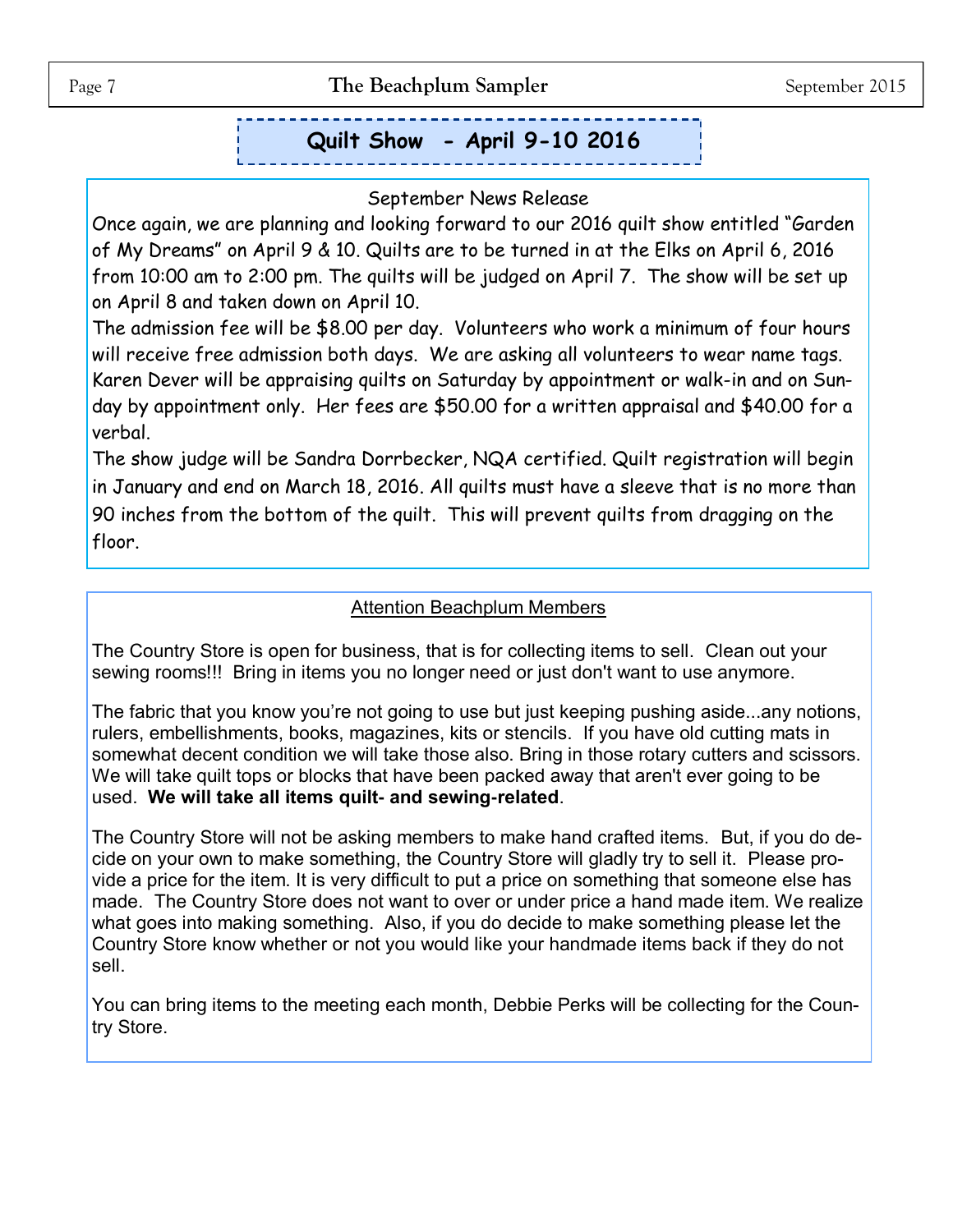# **Quilt Show - April 9-10 2016**

#### September News Release

Once again, we are planning and looking forward to our 2016 quilt show entitled "Garden of My Dreams" on April 9 & 10. Quilts are to be turned in at the Elks on April 6, 2016 from 10:00 am to 2:00 pm. The quilts will be judged on April 7. The show will be set up on April 8 and taken down on April 10.

The admission fee will be \$8.00 per day. Volunteers who work a minimum of four hours will receive free admission both days. We are asking all volunteers to wear name tags. Karen Dever will be appraising quilts on Saturday by appointment or walk-in and on Sunday by appointment only. Her fees are \$50.00 for a written appraisal and \$40.00 for a verbal.

The show judge will be Sandra Dorrbecker, NQA certified. Quilt registration will begin in January and end on March 18, 2016. All quilts must have a sleeve that is no more than 90 inches from the bottom of the quilt. This will prevent quilts from dragging on the floor.

#### Attention Beachplum Members

The Country Store is open for business, that is for collecting items to sell. Clean out your sewing rooms!!! Bring in items you no longer need or just don't want to use anymore.

The fabric that you know you're not going to use but just keeping pushing aside...any notions, rulers, embellishments, books, magazines, kits or stencils. If you have old cutting mats in somewhat decent condition we will take those also. Bring in those rotary cutters and scissors. We will take quilt tops or blocks that have been packed away that aren't ever going to be used. **We will take all items quilt- and sewing-related**.

The Country Store will not be asking members to make hand crafted items. But, if you do decide on your own to make something, the Country Store will gladly try to sell it. Please provide a price for the item. It is very difficult to put a price on something that someone else has made. The Country Store does not want to over or under price a hand made item. We realize what goes into making something. Also, if you do decide to make something please let the Country Store know whether or not you would like your handmade items back if they do not sell.

You can bring items to the meeting each month, Debbie Perks will be collecting for the Country Store.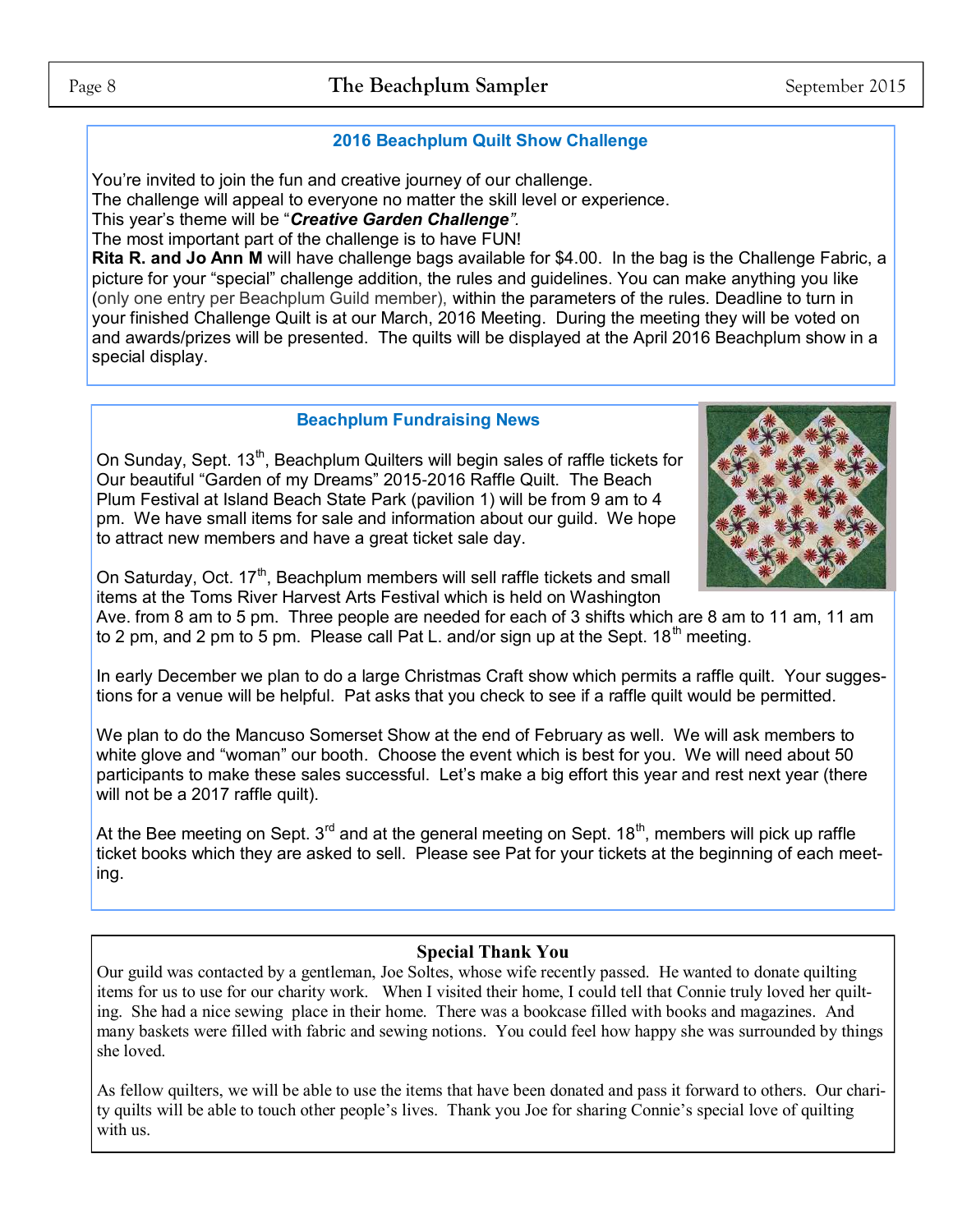#### **2016 Beachplum Quilt Show Challenge**

You're invited to join the fun and creative journey of our challenge.

The challenge will appeal to everyone no matter the skill level or experience.

This year's theme will be "*Creative Garden Challenge".* 

The most important part of the challenge is to have FUN!

**Rita R. and Jo Ann M** will have challenge bags available for \$4.00. In the bag is the Challenge Fabric, a picture for your "special" challenge addition, the rules and guidelines. You can make anything you like (only one entry per Beachplum Guild member), within the parameters of the rules. Deadline to turn in your finished Challenge Quilt is at our March, 2016 Meeting. During the meeting they will be voted on and awards/prizes will be presented. The quilts will be displayed at the April 2016 Beachplum show in a special display.

#### **Beachplum Fundraising News**

On Sunday, Sept. 13<sup>th</sup>, Beachplum Quilters will begin sales of raffle tickets for Our beautiful "Garden of my Dreams" 2015-2016 Raffle Quilt. The Beach Plum Festival at Island Beach State Park (pavilion 1) will be from 9 am to 4 pm. We have small items for sale and information about our guild. We hope to attract new members and have a great ticket sale day.



On Saturday, Oct. 17<sup>th</sup>, Beachplum members will sell raffle tickets and small items at the Toms River Harvest Arts Festival which is held on Washington

Ave. from 8 am to 5 pm. Three people are needed for each of 3 shifts which are 8 am to 11 am, 11 am to 2 pm, and 2 pm to 5 pm. Please call Pat L. and/or sign up at the Sept.  $18<sup>th</sup>$  meeting.

In early December we plan to do a large Christmas Craft show which permits a raffle quilt. Your suggestions for a venue will be helpful. Pat asks that you check to see if a raffle quilt would be permitted.

We plan to do the Mancuso Somerset Show at the end of February as well. We will ask members to white glove and "woman" our booth. Choose the event which is best for you. We will need about 50 participants to make these sales successful. Let's make a big effort this year and rest next year (there will not be a 2017 raffle quilt).

At the Bee meeting on Sept.  $3<sup>rd</sup>$  and at the general meeting on Sept.  $18<sup>th</sup>$ , members will pick up raffle ticket books which they are asked to sell. Please see Pat for your tickets at the beginning of each meeting.

#### **Special Thank You**

Our guild was contacted by a gentleman, Joe Soltes, whose wife recently passed. He wanted to donate quilting items for us to use for our charity work. When I visited their home, I could tell that Connie truly loved her quilting. She had a nice sewing place in their home. There was a bookcase filled with books and magazines. And many baskets were filled with fabric and sewing notions. You could feel how happy she was surrounded by things she loved.

As fellow quilters, we will be able to use the items that have been donated and pass it forward to others. Our charity quilts will be able to touch other people's lives. Thank you Joe for sharing Connie's special love of quilting with us.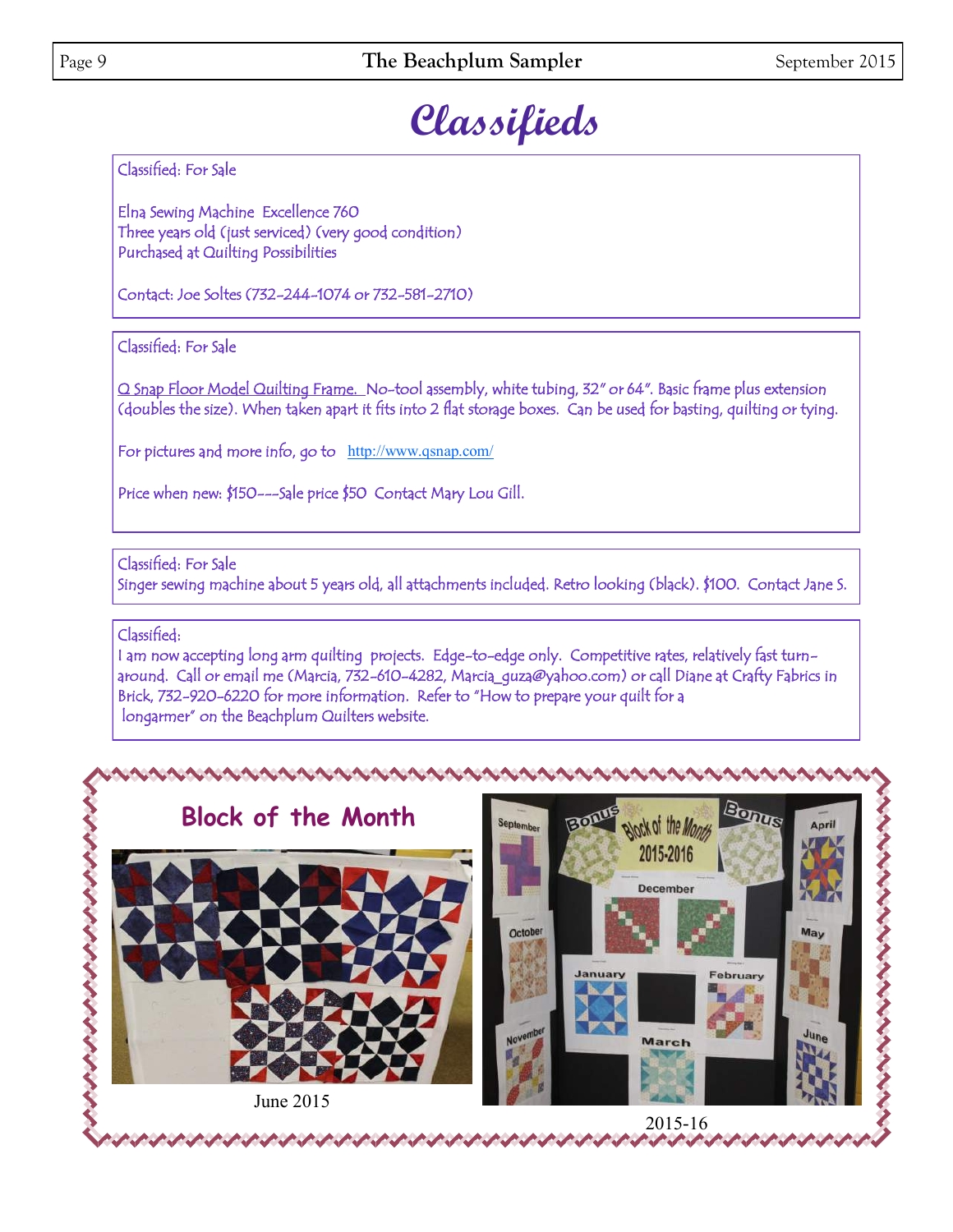# **Classifieds**

Classified: For Sale

Elna Sewing Machine Excellence 760 Three years old (just serviced) (very good condition) Purchased at Quilting Possibilities

Contact: Joe Soltes (732-244-1074 or 732-581-2710)

#### Classified: For Sale

Q Snap Floor Model Quilting Frame. No-tool assembly, white tubing, 32" or 64". Basic frame plus extension (doubles the size). When taken apart it fits into 2 flat storage boxes. Can be used for basting, quilting or tying.

For pictures and more info, go to <http://www.qsnap.com/>

Price when new: \$150---Sale price \$50 Contact Mary Lou Gill.

Classified: For Sale Singer sewing machine about 5 years old, all attachments included. Retro looking (black). \$100. Contact Jane S.

#### Classified:

I am now accepting long arm quilting projects. Edge-to-edge only. Competitive rates, relatively fast turnaround. Call or email me (Marcia, 732-610-4282, Marcia\_guza@yahoo.com) or call Diane at Crafty Fabrics in Brick, 732-920-6220 for more information. Refer to "How to prepare your quilt for a longarmer" on the Beachplum Quilters website.